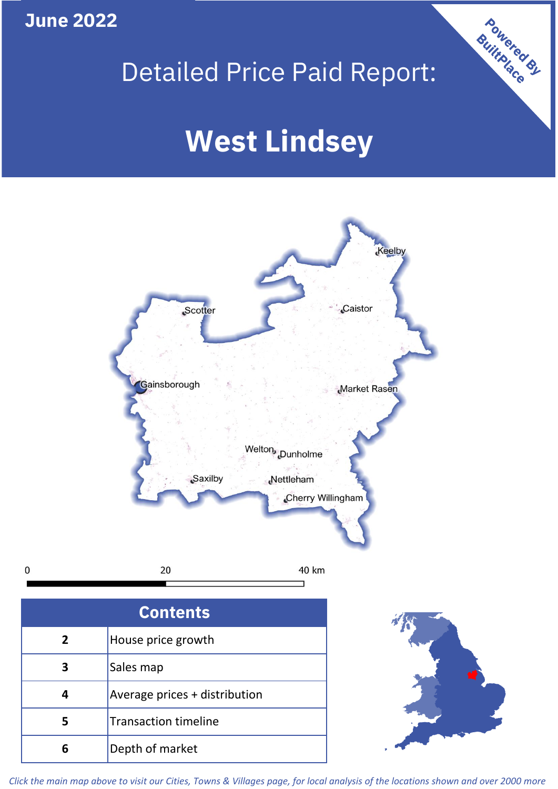# **June 2022**

 $\mathbf 0$ 

# Detailed Price Paid Report:

# **West Lindsey**



| <b>Contents</b> |                               |  |  |
|-----------------|-------------------------------|--|--|
| 2               | House price growth            |  |  |
|                 | Sales map                     |  |  |
|                 | Average prices + distribution |  |  |
| 5               | <b>Transaction timeline</b>   |  |  |
| Բ               | Depth of market               |  |  |



Powered By

*Click the main map above to visit our Cities, Towns & Villages page, for local analysis of the locations shown and over 2000 more*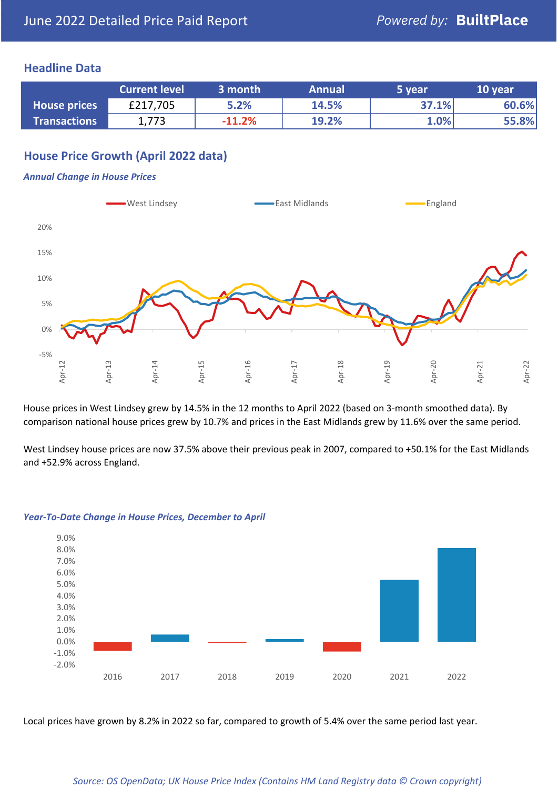## **Headline Data**

|                     | <b>Current level</b> | 3 month  | <b>Annual</b> | 5 year | 10 year |
|---------------------|----------------------|----------|---------------|--------|---------|
| <b>House prices</b> | £217,705             | 5.2%     | 14.5%         | 37.1%  | 60.6%   |
| <b>Transactions</b> | 1,773                | $-11.2%$ | 19.2%         | 1.0%   | 55.8%   |

# **House Price Growth (April 2022 data)**

#### *Annual Change in House Prices*



House prices in West Lindsey grew by 14.5% in the 12 months to April 2022 (based on 3-month smoothed data). By comparison national house prices grew by 10.7% and prices in the East Midlands grew by 11.6% over the same period.

West Lindsey house prices are now 37.5% above their previous peak in 2007, compared to +50.1% for the East Midlands and +52.9% across England.



#### *Year-To-Date Change in House Prices, December to April*

Local prices have grown by 8.2% in 2022 so far, compared to growth of 5.4% over the same period last year.

#### *Source: OS OpenData; UK House Price Index (Contains HM Land Registry data © Crown copyright)*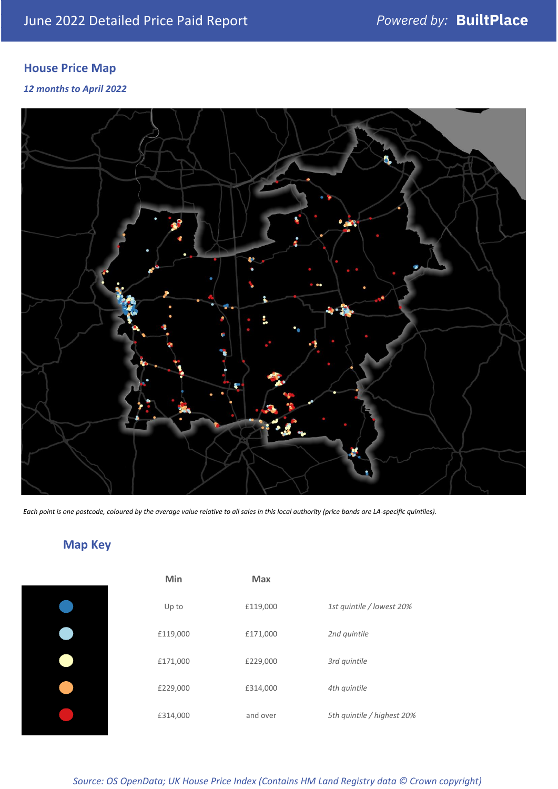# **House Price Map**

### *12 months to April 2022*



*Each point is one postcode, coloured by the average value relative to all sales in this local authority (price bands are LA-specific quintiles).*

# **Map Key**

| Min      | <b>Max</b> |                            |
|----------|------------|----------------------------|
| Up to    | £119,000   | 1st quintile / lowest 20%  |
| £119,000 | £171,000   | 2nd quintile               |
| £171,000 | £229,000   | 3rd quintile               |
| £229,000 | £314,000   | 4th quintile               |
| £314,000 | and over   | 5th quintile / highest 20% |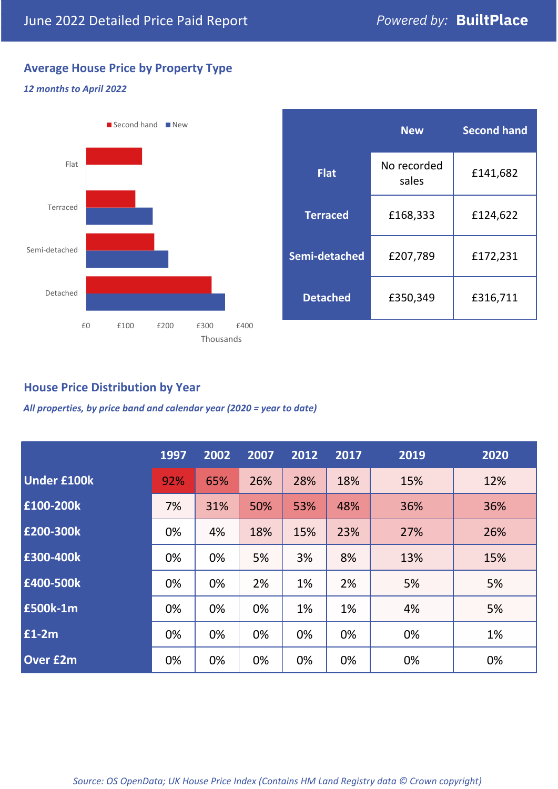# **Average House Price by Property Type**

#### *12 months to April 2022*



|                 | <b>New</b>           | <b>Second hand</b> |  |
|-----------------|----------------------|--------------------|--|
| <b>Flat</b>     | No recorded<br>sales | £141,682           |  |
| <b>Terraced</b> | £168,333             | £124,622           |  |
| Semi-detached   | £207,789             | £172,231           |  |
| <b>Detached</b> | £350,349             | £316,711           |  |

# **House Price Distribution by Year**

*All properties, by price band and calendar year (2020 = year to date)*

|                    | 1997 | 2002 | 2007 | 2012 | 2017 | 2019 | 2020 |
|--------------------|------|------|------|------|------|------|------|
| <b>Under £100k</b> | 92%  | 65%  | 26%  | 28%  | 18%  | 15%  | 12%  |
| £100-200k          | 7%   | 31%  | 50%  | 53%  | 48%  | 36%  | 36%  |
| E200-300k          | 0%   | 4%   | 18%  | 15%  | 23%  | 27%  | 26%  |
| £300-400k          | 0%   | 0%   | 5%   | 3%   | 8%   | 13%  | 15%  |
| £400-500k          | 0%   | 0%   | 2%   | 1%   | 2%   | 5%   | 5%   |
| <b>£500k-1m</b>    | 0%   | 0%   | 0%   | 1%   | 1%   | 4%   | 5%   |
| £1-2m              | 0%   | 0%   | 0%   | 0%   | 0%   | 0%   | 1%   |
| <b>Over £2m</b>    | 0%   | 0%   | 0%   | 0%   | 0%   | 0%   | 0%   |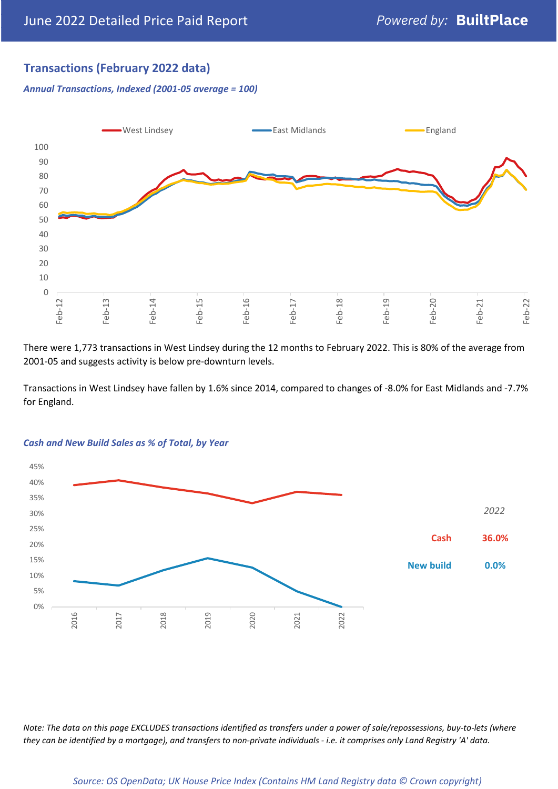# **Transactions (February 2022 data)**

*Annual Transactions, Indexed (2001-05 average = 100)*



There were 1,773 transactions in West Lindsey during the 12 months to February 2022. This is 80% of the average from 2001-05 and suggests activity is below pre-downturn levels.

Transactions in West Lindsey have fallen by 1.6% since 2014, compared to changes of -8.0% for East Midlands and -7.7% for England.



#### *Cash and New Build Sales as % of Total, by Year*

*Note: The data on this page EXCLUDES transactions identified as transfers under a power of sale/repossessions, buy-to-lets (where they can be identified by a mortgage), and transfers to non-private individuals - i.e. it comprises only Land Registry 'A' data.*